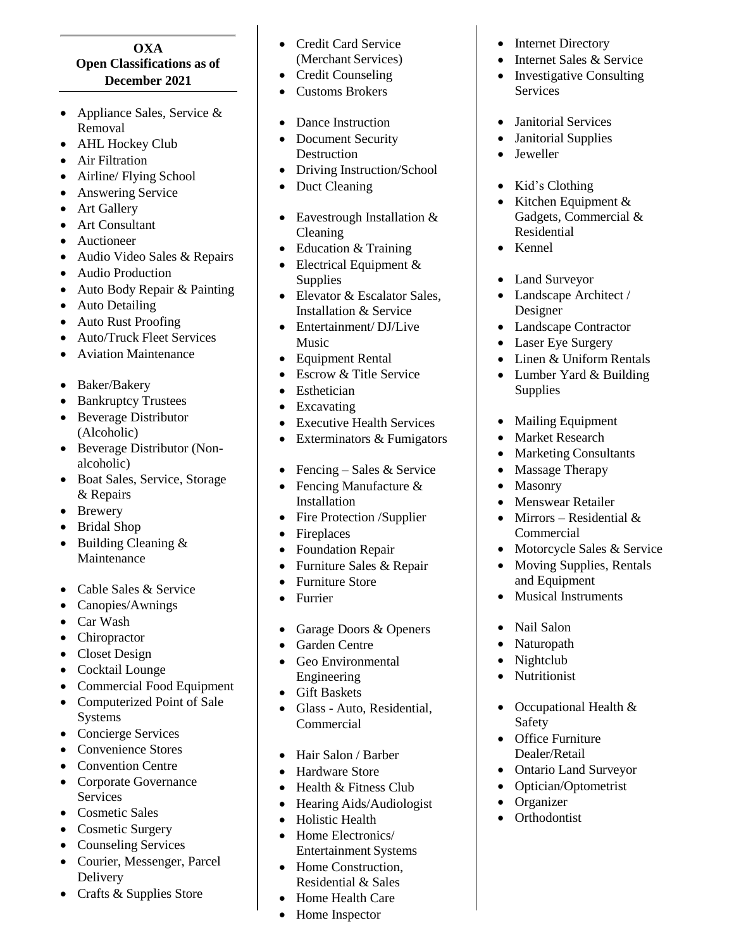## **OXA Open Classifications as of December 202 1**

- Appliance Sales, Service & Removal
- AHL Hockey Club
- Air Filtration
- Airline/ Flying School
- Answering Service
- Art Gallery
- Art Consultant
- **•** Auctioneer
- Audio Video Sales & Repairs
- Audio Production
- Auto Body Repair & Painting
- Auto Detailing
- Auto Rust Proofing
- Auto/Truck Fleet Services
- Aviation Maintenance
- Baker/Bakery
- Bankruptcy Trustees
- Beverage Distributor (Alcoholic)
- Beverage Distributor (Nonalcoholic)
- Boat Sales, Service, Storage & Repairs
- Brewery
- Bridal Shop
- Building Cleaning & Maintenance
- Cable Sales & Service
- Canopies/Awnings
- Car Wash
- Chiropractor
- Closet Design
- Cocktail Lounge
- Commercial Food Equipment
- Computerized Point of Sale Systems
- Concierge Services
- Convenience Stores
- Convention Centre
- Corporate Governance **Services**
- Cosmetic Sales
- Cosmetic Surgery
- Counseling Services
- Courier, Messenger, Parcel Delivery
- Crafts & Supplies Store
- Credit Card Service (Merchant Services)
- Credit Counseling
- Customs Brokers
- Dance Instruction
- Document Security **Destruction**
- Driving Instruction/School
- Duct Cleaning
- Eavestrough Installation & Cleaning
- Education & Training
- Electrical Equipment & Supplies
- Elevator & Escalator Sales, Installation & Service
- Entertainment/DJ/Live Music
- Equipment Rental
- Escrow & Title Service
- Esthetician
- Excavating
- Executive Health Services
- Exterminators & Fumigators
- Fencing Sales & Service
- Fencing Manufacture & Installation
- Fire Protection /Supplier
- Fireplaces
- Foundation Repair
- Furniture Sales & Repair
- Furniture Store
- Furrier
- Garage Doors & Openers
- Garden Centre
- Geo Environmental Engineering
- Gift Baskets
- Glass Auto, Residential, Commercial
- Hair Salon / Barber
- Hardware Store
- Health & Fitness Club
- Hearing Aids/Audiologist
- Holistic Health
- Home Electronics/ Entertainment Systems
- Home Construction, Residential & Sales
- Home Health Care
- Home Inspector
- Internet Directory
- Internet Sales & Service
- Investigative Consulting Services
- Janitorial Services
- Janitorial Supplies
- Jeweller
- Kid's Clothing
- Kitchen Equipment  $&$ Gadgets, Commercial & Residential
- Kennel
- Land Surveyor
- Landscape Architect / Designer
- Landscape Contractor
- Laser Eye Surgery
- Linen & Uniform Rentals
- Lumber Yard & Building **Supplies**
- Mailing Equipment
- Market Research
- Marketing Consultants

• Motorcycle Sales & Service Moving Supplies, Rentals

• Massage Therapy

 Menswear Retailer • Mirrors – Residential  $&$ 

and Equipment • Musical Instruments

• Occupational Health &

 Ontario Land Surveyor • Optician/Optometrist

• Nail Salon • Naturopath • Nightclub • Nutritionist

Safety • Office Furniture Dealer/Retail

• Organizer • Orthodontist

Commercial

• Masonry